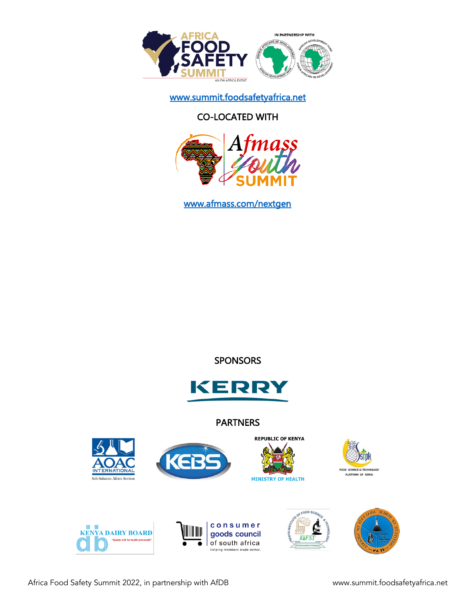

www.summit.foodsafetyafrica.net

# CO-LOCATED WITH



www.afmass.com/nextgen

## **SPONSORS**



### PARTNERS















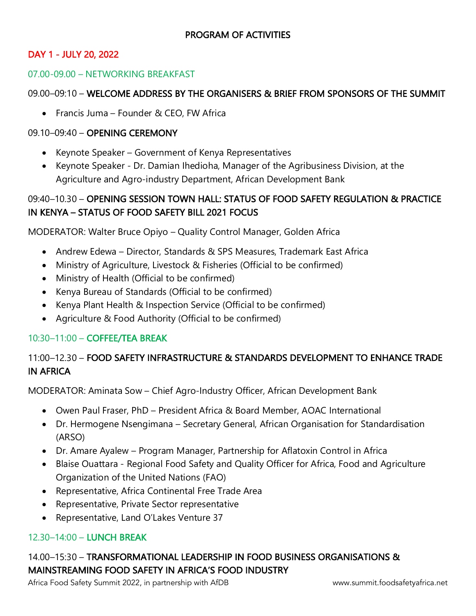## DAY 1 - JULY 20, 2022

#### 07.00-09.00 – NETWORKING BREAKFAST

#### 09.00–09:10 – WELCOME ADDRESS BY THE ORGANISERS & BRIEF FROM SPONSORS OF THE SUMMIT

• Francis Juma – Founder & CEO, FW Africa

#### 09.10–09:40 – OPENING CEREMONY

- Keynote Speaker Government of Kenya Representatives
- Keynote Speaker Dr. Damian Ihedioha, Manager of the Agribusiness Division, at the Agriculture and Agro-industry Department, African Development Bank

## 09:40–10.30 – OPENING SESSION TOWN HALL: STATUS OF FOOD SAFETY REGULATION & PRACTICE IN KENYA – STATUS OF FOOD SAFETY BILL 2021 FOCUS

MODERATOR: Walter Bruce Opiyo – Quality Control Manager, Golden Africa

- Andrew Edewa Director, Standards & SPS Measures, Trademark East Africa
- Ministry of Agriculture, Livestock & Fisheries (Official to be confirmed)
- Ministry of Health (Official to be confirmed)
- Kenya Bureau of Standards (Official to be confirmed)
- Kenya Plant Health & Inspection Service (Official to be confirmed)
- Agriculture & Food Authority (Official to be confirmed)

### 10:30–11:00 – COFFEE/TEA BREAK

# 11:00–12.30 – FOOD SAFETY INFRASTRUCTURE & STANDARDS DEVELOPMENT TO ENHANCE TRADE IN AFRICA

MODERATOR: Aminata Sow – Chief Agro-Industry Officer, African Development Bank

- Owen Paul Fraser, PhD President Africa & Board Member, AOAC International
- Dr. Hermogene Nsengimana Secretary General, African Organisation for Standardisation (ARSO)
- Dr. Amare Ayalew Program Manager, Partnership for Aflatoxin Control in Africa
- Blaise Ouattara Regional Food Safety and Quality Officer for Africa, Food and Agriculture Organization of the United Nations (FAO)
- Representative, Africa Continental Free Trade Area
- Representative, Private Sector representative
- Representative, Land O'Lakes Venture 37

### 12.30–14:00 – LUNCH BREAK

# 14.00–15:30 – TRANSFORMATIONAL LEADERSHIP IN FOOD BUSINESS ORGANISATIONS & MAINSTREAMING FOOD SAFETY IN AFRICA'S FOOD INDUSTRY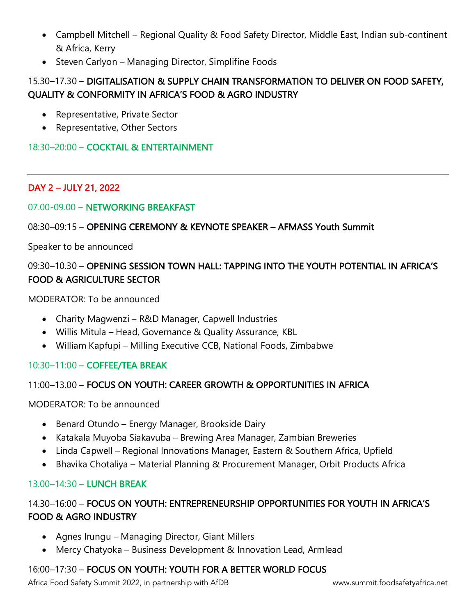- Campbell Mitchell Regional Quality & Food Safety Director, Middle East, Indian sub-continent & Africa, Kerry
- Steven Carlyon Managing Director, Simplifine Foods

# 15.30–17.30 – DIGITALISATION & SUPPLY CHAIN TRANSFORMATION TO DELIVER ON FOOD SAFETY, QUALITY & CONFORMITY IN AFRICA'S FOOD & AGRO INDUSTRY

- Representative, Private Sector
- Representative, Other Sectors

### 18:30–20:00 – COCKTAIL & ENTERTAINMENT

## DAY 2 – JULY 21, 2022

### 07.00-09.00 – NETWORKING BREAKFAST

### 08:30–09:15 – OPENING CEREMONY & KEYNOTE SPEAKER – AFMASS Youth Summit

Speaker to be announced

# 09:30–10.30 – OPENING SESSION TOWN HALL: TAPPING INTO THE YOUTH POTENTIAL IN AFRICA'S FOOD & AGRICULTURE SECTOR

MODERATOR: To be announced

- Charity Magwenzi R&D Manager, Capwell Industries
- Willis Mitula Head, Governance & Quality Assurance, KBL
- William Kapfupi Milling Executive CCB, National Foods, Zimbabwe

## 10:30–11:00 – COFFEE/TEA BREAK

## 11:00–13.00 – FOCUS ON YOUTH: CAREER GROWTH & OPPORTUNITIES IN AFRICA

MODERATOR: To be announced

- Benard Otundo Energy Manager, Brookside Dairy
- Katakala Muyoba Siakavuba Brewing Area Manager, Zambian Breweries
- Linda Capwell Regional Innovations Manager, Eastern & Southern Africa, Upfield
- Bhavika Chotaliya Material Planning & Procurement Manager, Orbit Products Africa

## 13.00–14:30 – LUNCH BREAK

## 14.30–16:00 – FOCUS ON YOUTH: ENTREPRENEURSHIP OPPORTUNITIES FOR YOUTH IN AFRICA'S FOOD & AGRO INDUSTRY

- Agnes Irungu Managing Director, Giant Millers
- Mercy Chatyoka Business Development & Innovation Lead, Armlead

## 16:00–17:30 – FOCUS ON YOUTH: YOUTH FOR A BETTER WORLD FOCUS